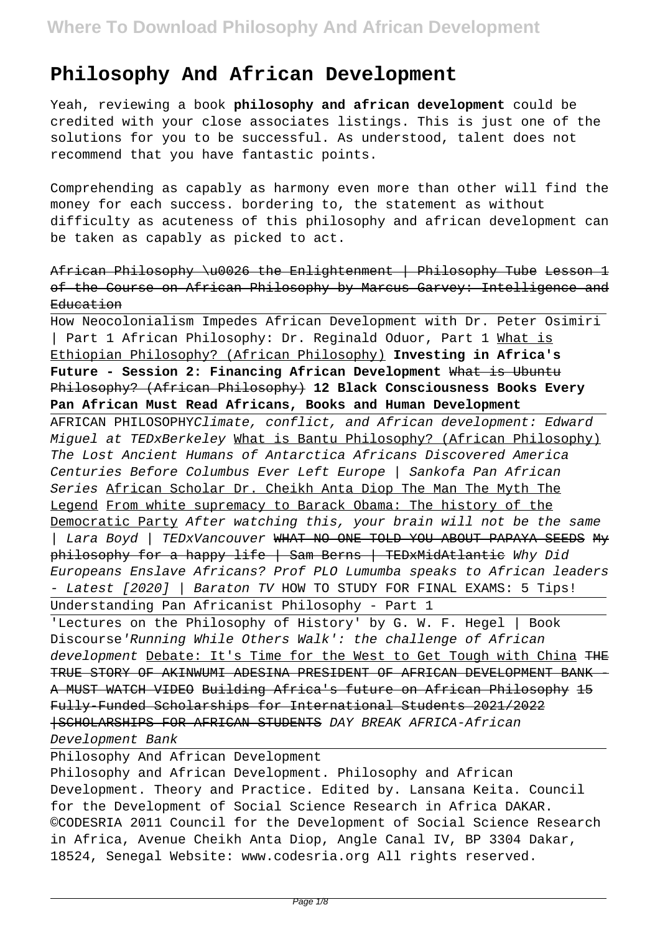## **Philosophy And African Development**

Yeah, reviewing a book **philosophy and african development** could be credited with your close associates listings. This is just one of the solutions for you to be successful. As understood, talent does not recommend that you have fantastic points.

Comprehending as capably as harmony even more than other will find the money for each success. bordering to, the statement as without difficulty as acuteness of this philosophy and african development can be taken as capably as picked to act.

African Philosophy \u0026 the Enlightenment | Philosophy Tube Lesson 1 of the Course on African Philosophy by Marcus Garvey: Intelligence and Education

How Neocolonialism Impedes African Development with Dr. Peter Osimiri | Part 1 African Philosophy: Dr. Reginald Oduor, Part 1 What is Ethiopian Philosophy? (African Philosophy) **Investing in Africa's Future - Session 2: Financing African Development** What is Ubuntu Philosophy? (African Philosophy) **12 Black Consciousness Books Every Pan African Must Read Africans, Books and Human Development**

AFRICAN PHILOSOPHYClimate, conflict, and African development: Edward Miguel at TEDxBerkeley What is Bantu Philosophy? (African Philosophy) The Lost Ancient Humans of Antarctica Africans Discovered America Centuries Before Columbus Ever Left Europe | Sankofa Pan African Series African Scholar Dr. Cheikh Anta Diop The Man The Myth The Legend From white supremacy to Barack Obama: The history of the Democratic Party After watching this, your brain will not be the same | Lara Boyd | TEDxVancouver WHAT NO ONE TOLD YOU ABOUT PAPAYA SEEDS My philosophy for a happy life | Sam Berns | TEDxMidAtlantic Why Did Europeans Enslave Africans? Prof PLO Lumumba speaks to African leaders - Latest [2020] | Baraton TV HOW TO STUDY FOR FINAL EXAMS: 5 Tips! Understanding Pan Africanist Philosophy - Part 1

'Lectures on the Philosophy of History' by G. W. F. Hegel | Book Discourse'Running While Others Walk': the challenge of African development Debate: It's Time for the West to Get Tough with China THE TRUE STORY OF AKINWUMI ADESINA PRESIDENT OF AFRICAN DEVELOPMENT BANK A MUST WATCH VIDEO Building Africa's future on African Philosophy 15 Fully-Funded Scholarships for International Students 2021/2022 |SCHOLARSHIPS FOR AFRICAN STUDENTS DAY BREAK AFRICA-African Development Bank

Philosophy And African Development

Philosophy and African Development. Philosophy and African Development. Theory and Practice. Edited by. Lansana Keita. Council for the Development of Social Science Research in Africa DAKAR. ©CODESRIA 2011 Council for the Development of Social Science Research in Africa, Avenue Cheikh Anta Diop, Angle Canal IV, BP 3304 Dakar, 18524, Senegal Website: www.codesria.org All rights reserved.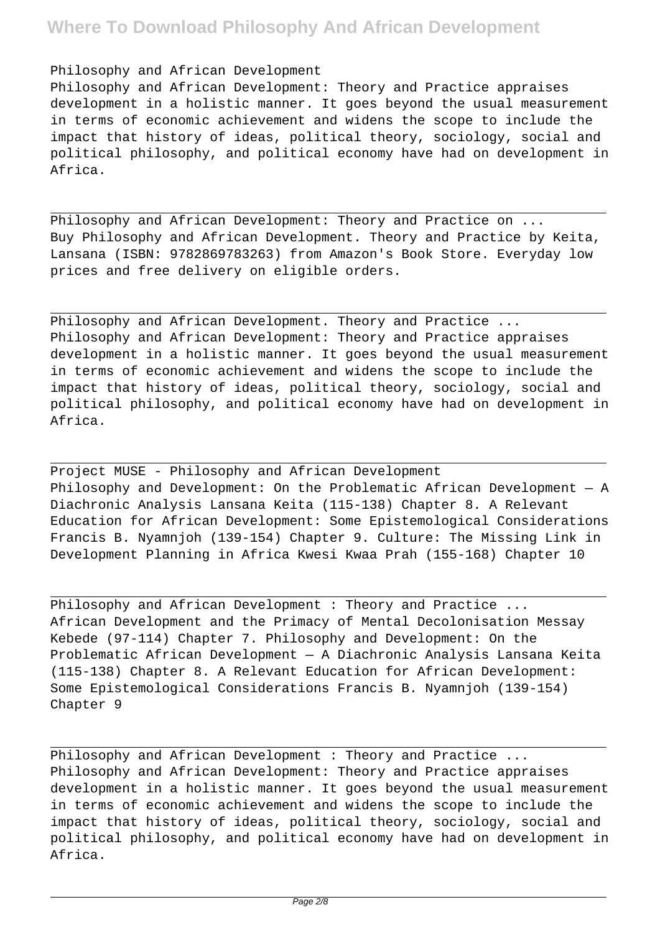#### Philosophy and African Development

Philosophy and African Development: Theory and Practice appraises development in a holistic manner. It goes beyond the usual measurement in terms of economic achievement and widens the scope to include the impact that history of ideas, political theory, sociology, social and political philosophy, and political economy have had on development in Africa.

Philosophy and African Development: Theory and Practice on ... Buy Philosophy and African Development. Theory and Practice by Keita, Lansana (ISBN: 9782869783263) from Amazon's Book Store. Everyday low prices and free delivery on eligible orders.

Philosophy and African Development. Theory and Practice ... Philosophy and African Development: Theory and Practice appraises development in a holistic manner. It goes beyond the usual measurement in terms of economic achievement and widens the scope to include the impact that history of ideas, political theory, sociology, social and political philosophy, and political economy have had on development in Africa.

Project MUSE - Philosophy and African Development Philosophy and Development: On the Problematic African Development — A Diachronic Analysis Lansana Keita (115-138) Chapter 8. A Relevant Education for African Development: Some Epistemological Considerations Francis B. Nyamnjoh (139-154) Chapter 9. Culture: The Missing Link in Development Planning in Africa Kwesi Kwaa Prah (155-168) Chapter 10

Philosophy and African Development : Theory and Practice ... African Development and the Primacy of Mental Decolonisation Messay Kebede (97-114) Chapter 7. Philosophy and Development: On the Problematic African Development — A Diachronic Analysis Lansana Keita (115-138) Chapter 8. A Relevant Education for African Development: Some Epistemological Considerations Francis B. Nyamnjoh (139-154) Chapter 9

Philosophy and African Development : Theory and Practice ... Philosophy and African Development: Theory and Practice appraises development in a holistic manner. It goes beyond the usual measurement in terms of economic achievement and widens the scope to include the impact that history of ideas, political theory, sociology, social and political philosophy, and political economy have had on development in Africa.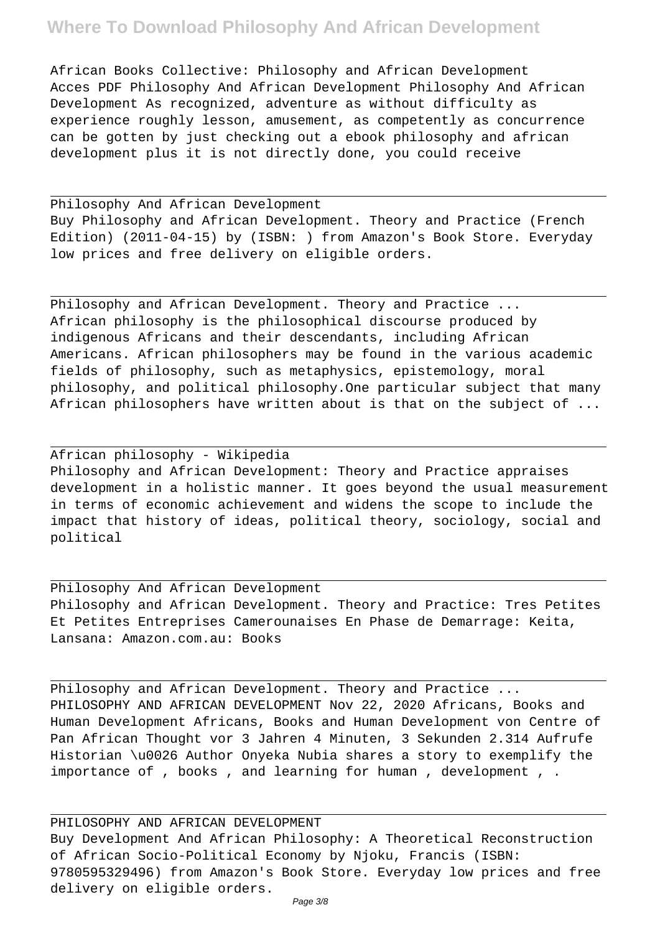African Books Collective: Philosophy and African Development Acces PDF Philosophy And African Development Philosophy And African Development As recognized, adventure as without difficulty as experience roughly lesson, amusement, as competently as concurrence can be gotten by just checking out a ebook philosophy and african development plus it is not directly done, you could receive

Philosophy And African Development Buy Philosophy and African Development. Theory and Practice (French Edition) (2011-04-15) by (ISBN: ) from Amazon's Book Store. Everyday low prices and free delivery on eligible orders.

Philosophy and African Development. Theory and Practice ... African philosophy is the philosophical discourse produced by indigenous Africans and their descendants, including African Americans. African philosophers may be found in the various academic fields of philosophy, such as metaphysics, epistemology, moral philosophy, and political philosophy.One particular subject that many African philosophers have written about is that on the subject of ...

African philosophy - Wikipedia Philosophy and African Development: Theory and Practice appraises development in a holistic manner. It goes beyond the usual measurement in terms of economic achievement and widens the scope to include the impact that history of ideas, political theory, sociology, social and political

Philosophy And African Development Philosophy and African Development. Theory and Practice: Tres Petites Et Petites Entreprises Camerounaises En Phase de Demarrage: Keita, Lansana: Amazon.com.au: Books

Philosophy and African Development. Theory and Practice ... PHILOSOPHY AND AFRICAN DEVELOPMENT Nov 22, 2020 Africans, Books and Human Development Africans, Books and Human Development von Centre of Pan African Thought vor 3 Jahren 4 Minuten, 3 Sekunden 2.314 Aufrufe Historian \u0026 Author Onyeka Nubia shares a story to exemplify the importance of , books , and learning for human , development , .

PHILOSOPHY AND AFRICAN DEVELOPMENT Buy Development And African Philosophy: A Theoretical Reconstruction of African Socio-Political Economy by Njoku, Francis (ISBN: 9780595329496) from Amazon's Book Store. Everyday low prices and free delivery on eligible orders.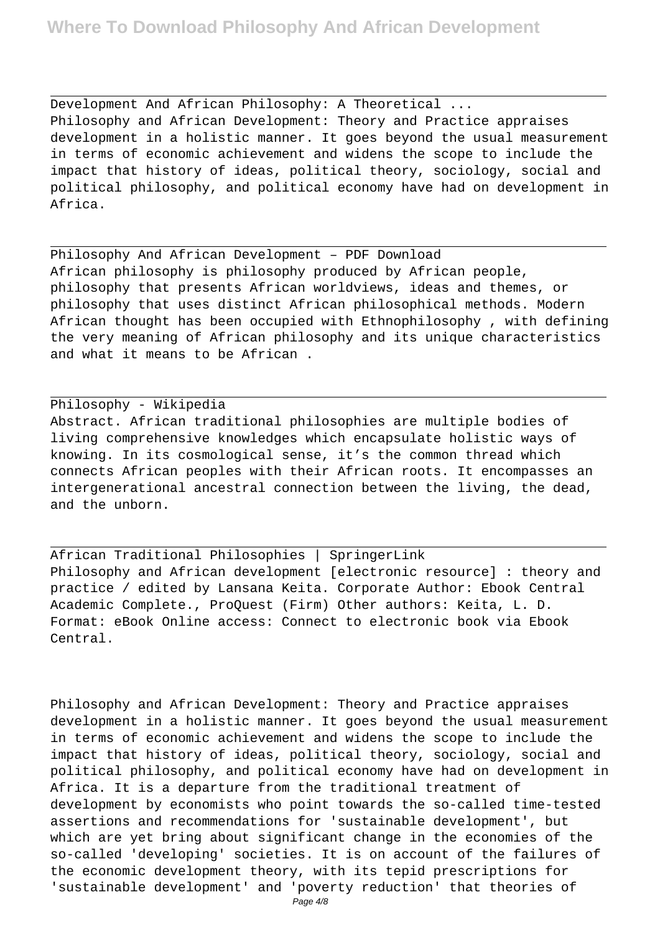Development And African Philosophy: A Theoretical ... Philosophy and African Development: Theory and Practice appraises development in a holistic manner. It goes beyond the usual measurement in terms of economic achievement and widens the scope to include the impact that history of ideas, political theory, sociology, social and political philosophy, and political economy have had on development in Africa.

Philosophy And African Development – PDF Download African philosophy is philosophy produced by African people, philosophy that presents African worldviews, ideas and themes, or philosophy that uses distinct African philosophical methods. Modern African thought has been occupied with Ethnophilosophy , with defining the very meaning of African philosophy and its unique characteristics and what it means to be African .

#### Philosophy - Wikipedia

Abstract. African traditional philosophies are multiple bodies of living comprehensive knowledges which encapsulate holistic ways of knowing. In its cosmological sense, it's the common thread which connects African peoples with their African roots. It encompasses an intergenerational ancestral connection between the living, the dead, and the unborn.

African Traditional Philosophies | SpringerLink Philosophy and African development [electronic resource] : theory and practice / edited by Lansana Keita. Corporate Author: Ebook Central Academic Complete., ProQuest (Firm) Other authors: Keita, L. D. Format: eBook Online access: Connect to electronic book via Ebook Central.

Philosophy and African Development: Theory and Practice appraises development in a holistic manner. It goes beyond the usual measurement in terms of economic achievement and widens the scope to include the impact that history of ideas, political theory, sociology, social and political philosophy, and political economy have had on development in Africa. It is a departure from the traditional treatment of development by economists who point towards the so-called time-tested assertions and recommendations for 'sustainable development', but which are yet bring about significant change in the economies of the so-called 'developing' societies. It is on account of the failures of the economic development theory, with its tepid prescriptions for 'sustainable development' and 'poverty reduction' that theories of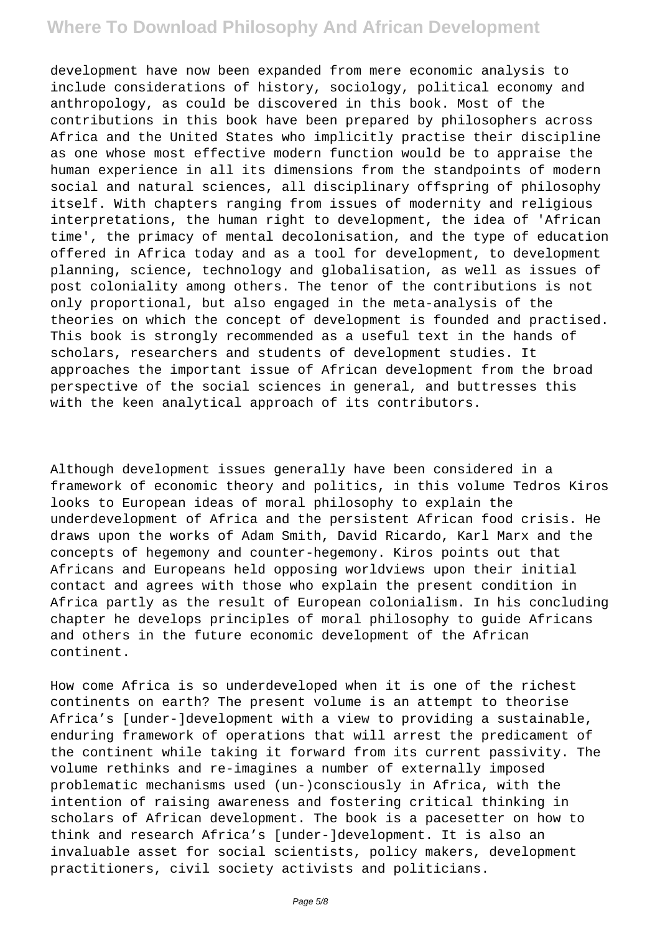development have now been expanded from mere economic analysis to include considerations of history, sociology, political economy and anthropology, as could be discovered in this book. Most of the contributions in this book have been prepared by philosophers across Africa and the United States who implicitly practise their discipline as one whose most effective modern function would be to appraise the human experience in all its dimensions from the standpoints of modern social and natural sciences, all disciplinary offspring of philosophy itself. With chapters ranging from issues of modernity and religious interpretations, the human right to development, the idea of 'African time', the primacy of mental decolonisation, and the type of education offered in Africa today and as a tool for development, to development planning, science, technology and globalisation, as well as issues of post coloniality among others. The tenor of the contributions is not only proportional, but also engaged in the meta-analysis of the theories on which the concept of development is founded and practised. This book is strongly recommended as a useful text in the hands of scholars, researchers and students of development studies. It approaches the important issue of African development from the broad perspective of the social sciences in general, and buttresses this with the keen analytical approach of its contributors.

Although development issues generally have been considered in a framework of economic theory and politics, in this volume Tedros Kiros looks to European ideas of moral philosophy to explain the underdevelopment of Africa and the persistent African food crisis. He draws upon the works of Adam Smith, David Ricardo, Karl Marx and the concepts of hegemony and counter-hegemony. Kiros points out that Africans and Europeans held opposing worldviews upon their initial contact and agrees with those who explain the present condition in Africa partly as the result of European colonialism. In his concluding chapter he develops principles of moral philosophy to guide Africans and others in the future economic development of the African continent.

How come Africa is so underdeveloped when it is one of the richest continents on earth? The present volume is an attempt to theorise Africa's [under-]development with a view to providing a sustainable, enduring framework of operations that will arrest the predicament of the continent while taking it forward from its current passivity. The volume rethinks and re-imagines a number of externally imposed problematic mechanisms used (un-)consciously in Africa, with the intention of raising awareness and fostering critical thinking in scholars of African development. The book is a pacesetter on how to think and research Africa's [under-]development. It is also an invaluable asset for social scientists, policy makers, development practitioners, civil society activists and politicians.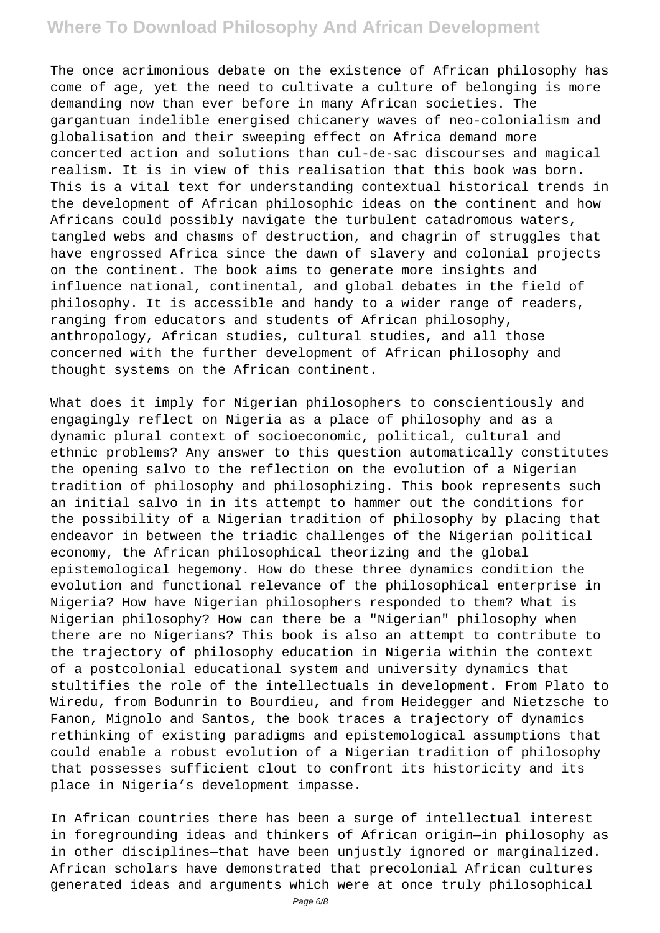The once acrimonious debate on the existence of African philosophy has come of age, yet the need to cultivate a culture of belonging is more demanding now than ever before in many African societies. The gargantuan indelible energised chicanery waves of neo-colonialism and globalisation and their sweeping effect on Africa demand more concerted action and solutions than cul-de-sac discourses and magical realism. It is in view of this realisation that this book was born. This is a vital text for understanding contextual historical trends in the development of African philosophic ideas on the continent and how Africans could possibly navigate the turbulent catadromous waters, tangled webs and chasms of destruction, and chagrin of struggles that have engrossed Africa since the dawn of slavery and colonial projects on the continent. The book aims to generate more insights and influence national, continental, and global debates in the field of philosophy. It is accessible and handy to a wider range of readers, ranging from educators and students of African philosophy, anthropology, African studies, cultural studies, and all those concerned with the further development of African philosophy and thought systems on the African continent.

What does it imply for Nigerian philosophers to conscientiously and engagingly reflect on Nigeria as a place of philosophy and as a dynamic plural context of socioeconomic, political, cultural and ethnic problems? Any answer to this question automatically constitutes the opening salvo to the reflection on the evolution of a Nigerian tradition of philosophy and philosophizing. This book represents such an initial salvo in in its attempt to hammer out the conditions for the possibility of a Nigerian tradition of philosophy by placing that endeavor in between the triadic challenges of the Nigerian political economy, the African philosophical theorizing and the global epistemological hegemony. How do these three dynamics condition the evolution and functional relevance of the philosophical enterprise in Nigeria? How have Nigerian philosophers responded to them? What is Nigerian philosophy? How can there be a "Nigerian" philosophy when there are no Nigerians? This book is also an attempt to contribute to the trajectory of philosophy education in Nigeria within the context of a postcolonial educational system and university dynamics that stultifies the role of the intellectuals in development. From Plato to Wiredu, from Bodunrin to Bourdieu, and from Heidegger and Nietzsche to Fanon, Mignolo and Santos, the book traces a trajectory of dynamics rethinking of existing paradigms and epistemological assumptions that could enable a robust evolution of a Nigerian tradition of philosophy that possesses sufficient clout to confront its historicity and its place in Nigeria's development impasse.

In African countries there has been a surge of intellectual interest in foregrounding ideas and thinkers of African origin—in philosophy as in other disciplines—that have been unjustly ignored or marginalized. African scholars have demonstrated that precolonial African cultures generated ideas and arguments which were at once truly philosophical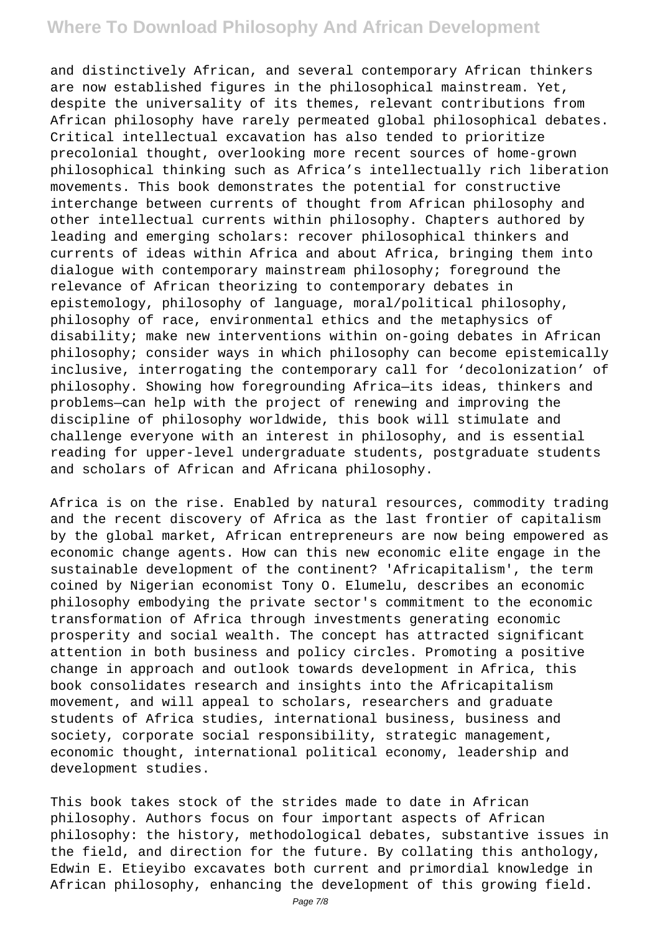and distinctively African, and several contemporary African thinkers are now established figures in the philosophical mainstream. Yet, despite the universality of its themes, relevant contributions from African philosophy have rarely permeated global philosophical debates. Critical intellectual excavation has also tended to prioritize precolonial thought, overlooking more recent sources of home-grown philosophical thinking such as Africa's intellectually rich liberation movements. This book demonstrates the potential for constructive interchange between currents of thought from African philosophy and other intellectual currents within philosophy. Chapters authored by leading and emerging scholars: recover philosophical thinkers and currents of ideas within Africa and about Africa, bringing them into dialogue with contemporary mainstream philosophy; foreground the relevance of African theorizing to contemporary debates in epistemology, philosophy of language, moral/political philosophy, philosophy of race, environmental ethics and the metaphysics of disability; make new interventions within on-going debates in African philosophy; consider ways in which philosophy can become epistemically inclusive, interrogating the contemporary call for 'decolonization' of philosophy. Showing how foregrounding Africa—its ideas, thinkers and problems—can help with the project of renewing and improving the discipline of philosophy worldwide, this book will stimulate and challenge everyone with an interest in philosophy, and is essential reading for upper-level undergraduate students, postgraduate students and scholars of African and Africana philosophy.

Africa is on the rise. Enabled by natural resources, commodity trading and the recent discovery of Africa as the last frontier of capitalism by the global market, African entrepreneurs are now being empowered as economic change agents. How can this new economic elite engage in the sustainable development of the continent? 'Africapitalism', the term coined by Nigerian economist Tony O. Elumelu, describes an economic philosophy embodying the private sector's commitment to the economic transformation of Africa through investments generating economic prosperity and social wealth. The concept has attracted significant attention in both business and policy circles. Promoting a positive change in approach and outlook towards development in Africa, this book consolidates research and insights into the Africapitalism movement, and will appeal to scholars, researchers and graduate students of Africa studies, international business, business and society, corporate social responsibility, strategic management, economic thought, international political economy, leadership and development studies.

This book takes stock of the strides made to date in African philosophy. Authors focus on four important aspects of African philosophy: the history, methodological debates, substantive issues in the field, and direction for the future. By collating this anthology, Edwin E. Etieyibo excavates both current and primordial knowledge in African philosophy, enhancing the development of this growing field.